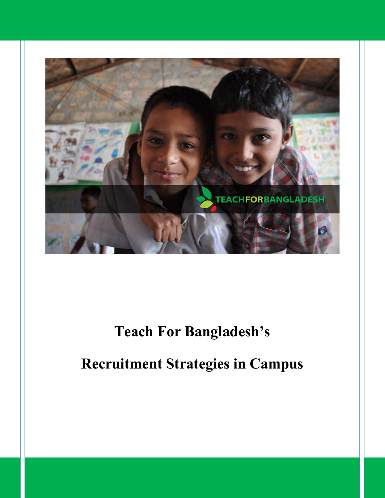

# **Teach For Bangladesh's**

# **Recruitment Strategies in Campus**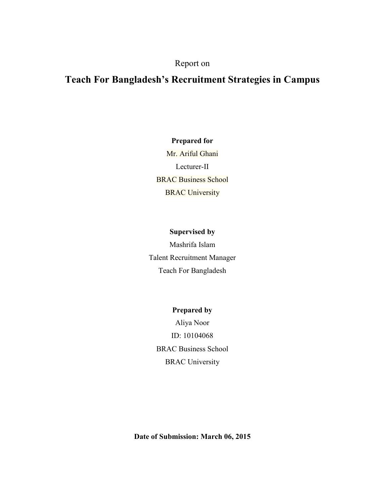# Report on

# **Teach For Bangladesh's Recruitment Strategies in Campus**

**Prepared for**  Mr. Ariful Ghani Lecturer-II BRAC Business School **BRAC University** 

# **Supervised by**

Mashrifa Islam Talent Recruitment Manager Teach For Bangladesh

# **Prepared by**

Aliya Noor ID: 10104068 BRAC Business School BRAC University

**Date of Submission: March 06, 2015**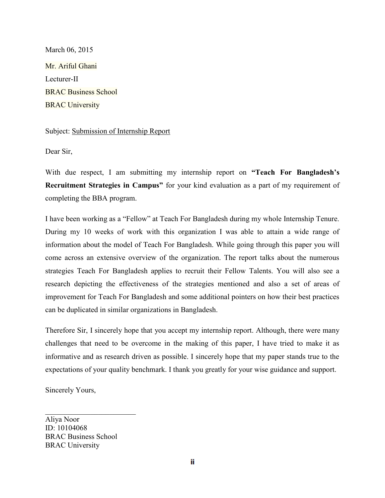March 06, 2015 Mr. Ariful Ghani Lecturer-II BRAC Business School **BRAC University** 

# Subject: Submission of Internship Report

Dear Sir,

With due respect, I am submitting my internship report on **"Teach For Bangladesh's Recruitment Strategies in Campus"** for your kind evaluation as a part of my requirement of completing the BBA program.

I have been working as a "Fellow" at Teach For Bangladesh during my whole Internship Tenure. During my 10 weeks of work with this organization I was able to attain a wide range of information about the model of Teach For Bangladesh. While going through this paper you will come across an extensive overview of the organization. The report talks about the numerous strategies Teach For Bangladesh applies to recruit their Fellow Talents. You will also see a research depicting the effectiveness of the strategies mentioned and also a set of areas of improvement for Teach For Bangladesh and some additional pointers on how their best practices can be duplicated in similar organizations in Bangladesh.

Therefore Sir, I sincerely hope that you accept my internship report. Although, there were many challenges that need to be overcome in the making of this paper, I have tried to make it as informative and as research driven as possible. I sincerely hope that my paper stands true to the expectations of your quality benchmark. I thank you greatly for your wise guidance and support.

Sincerely Yours,

Aliya Noor ID: 10104068 BRAC Business School BRAC University

 $\overline{\phantom{a}}$  , which is a set of the set of the set of the set of the set of the set of the set of the set of the set of the set of the set of the set of the set of the set of the set of the set of the set of the set of th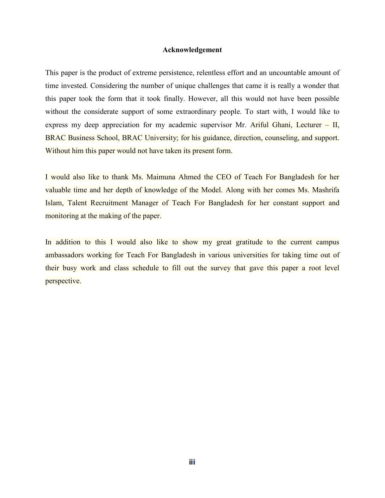#### **Acknowledgement**

This paper is the product of extreme persistence, relentless effort and an uncountable amount of time invested. Considering the number of unique challenges that came it is really a wonder that this paper took the form that it took finally. However, all this would not have been possible without the considerate support of some extraordinary people. To start with, I would like to express my deep appreciation for my academic supervisor Mr. Ariful Ghani, Lecturer – II, BRAC Business School, BRAC University; for his guidance, direction, counseling, and support. Without him this paper would not have taken its present form.

I would also like to thank Ms. Maimuna Ahmed the CEO of Teach For Bangladesh for her valuable time and her depth of knowledge of the Model. Along with her comes Ms. Mashrifa Islam, Talent Recruitment Manager of Teach For Bangladesh for her constant support and monitoring at the making of the paper.

In addition to this I would also like to show my great gratitude to the current campus ambassadors working for Teach For Bangladesh in various universities for taking time out of their busy work and class schedule to fill out the survey that gave this paper a root level perspective.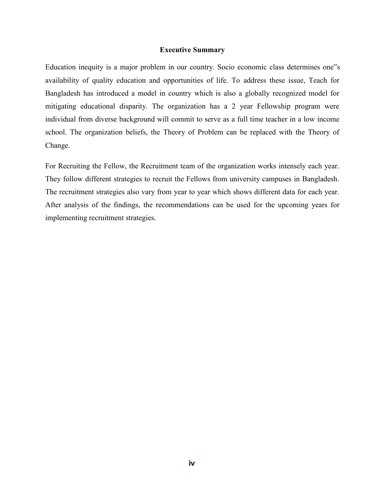#### **Executive Summary**

Education inequity is a major problem in our country. Socio economic class determines one"s availability of quality education and opportunities of life. To address these issue, Teach for Bangladesh has introduced a model in country which is also a globally recognized model for mitigating educational disparity. The organization has a 2 year Fellowship program were individual from diverse background will commit to serve as a full time teacher in a low income school. The organization beliefs, the Theory of Problem can be replaced with the Theory of Change.

For Recruiting the Fellow, the Recruitment team of the organization works intensely each year. They follow different strategies to recruit the Fellows from university campuses in Bangladesh. The recruitment strategies also vary from year to year which shows different data for each year. After analysis of the findings, the recommendations can be used for the upcoming years for implementing recruitment strategies.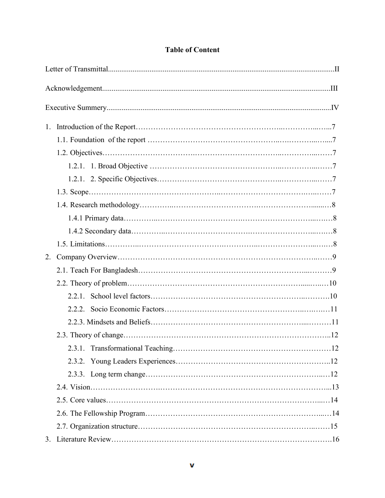| $1_{\cdot}$ |  |  |
|-------------|--|--|
|             |  |  |
|             |  |  |
|             |  |  |
|             |  |  |
|             |  |  |
|             |  |  |
|             |  |  |
|             |  |  |
|             |  |  |
| 2.          |  |  |
|             |  |  |
|             |  |  |
|             |  |  |
|             |  |  |
|             |  |  |
|             |  |  |
|             |  |  |
|             |  |  |
|             |  |  |
|             |  |  |
|             |  |  |
|             |  |  |
|             |  |  |
|             |  |  |

# **Table of Content**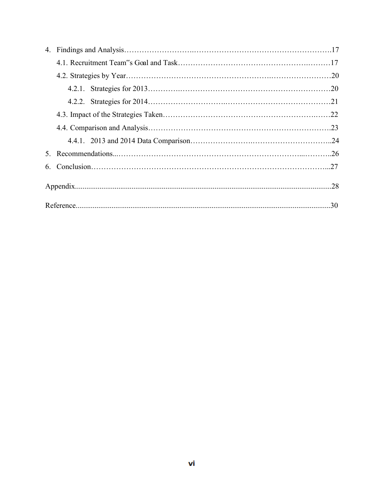|  | .30 |
|--|-----|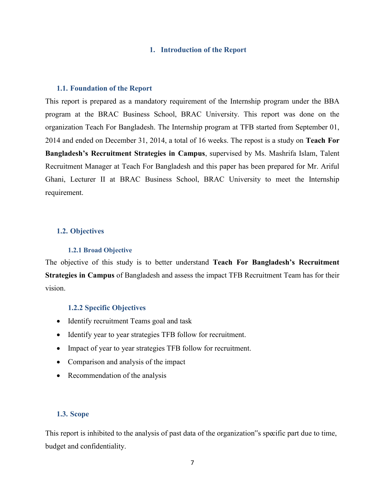#### **1. Introduction of the Report**

#### **1.1. Foundation of the Report**

This report is prepared as a mandatory requirement of the Internship program under the BBA program at the BRAC Business School, BRAC University. This report was done on the organization Teach For Bangladesh. The Internship program at TFB started from September 01, 2014 and ended on December 31, 2014, a total of 16 weeks. The repost is a study on **Teach For Bangladesh's Recruitment Strategies in Campus**, supervised by Ms. Mashrifa Islam, Talent Recruitment Manager at Teach For Bangladesh and this paper has been prepared for Mr. Ariful Ghani, Lecturer II at BRAC Business School, BRAC University to meet the Internship requirement.

#### **1.2. Objectives**

#### **1.2.1 Broad Objective**

The objective of this study is to better understand **Teach For Bangladesh's Recruitment Strategies in Campus** of Bangladesh and assess the impact TFB Recruitment Team has for their vision.

#### **1.2.2 Specific Objectives**

- Identify recruitment Teams goal and task
- Identify year to year strategies TFB follow for recruitment.
- Impact of year to year strategies TFB follow for recruitment.
- Comparison and analysis of the impact
- Recommendation of the analysis

#### **1.3. Scope**

This report is inhibited to the analysis of past data of the organization"s specific part due to time, budget and confidentiality.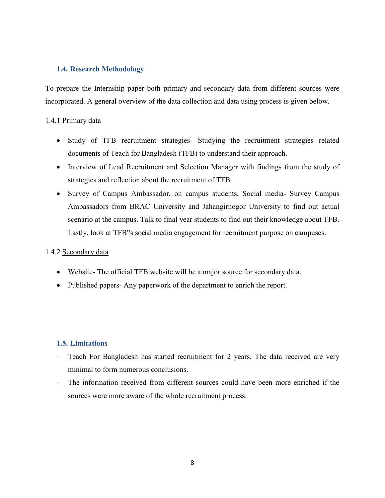# **1.4. Research Methodology**

To prepare the Internship paper both primary and secondary data from different sources were incorporated. A general overview of the data collection and data using process is given below.

## 1.4.1 Primary data

- Study of TFB recruitment strategies- Studying the recruitment strategies related documents of Teach for Bangladesh (TFB) to understand their approach.
- Interview of Lead Recruitment and Selection Manager with findings from the study of strategies and reflection about the recruitment of TFB.
- Survey of Campus Ambassador, on campus students, Social media- Survey Campus Ambassadors from BRAC University and Jahangirnogor University to find out actual scenario at the campus. Talk to final year students to find out their knowledge about TFB. Lastly, look at TFB"s social media engagement for recruitment purpose on campuses.

### 1.4.2 Secondary data

- Website- The official TFB website will be a major source for secondary data.
- Published papers- Any paperwork of the department to enrich the report.

# **1.5. Limitations**

- Teach For Bangladesh has started recruitment for 2 years. The data received are very minimal to form numerous conclusions.
- The information received from different sources could have been more enriched if the sources were more aware of the whole recruitment process.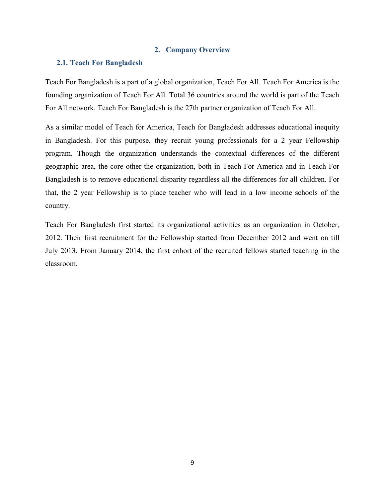#### **2. Company Overview**

#### **2.1. Teach For Bangladesh**

Teach For Bangladesh is a part of a global organization, Teach For All. Teach For America is the founding organization of Teach For All. Total 36 countries around the world is part of the Teach For All network. Teach For Bangladesh is the 27th partner organization of Teach For All.

As a similar model of Teach for America, Teach for Bangladesh addresses educational inequity in Bangladesh. For this purpose, they recruit young professionals for a 2 year Fellowship program. Though the organization understands the contextual differences of the different geographic area, the core other the organization, both in Teach For America and in Teach For Bangladesh is to remove educational disparity regardless all the differences for all children. For that, the 2 year Fellowship is to place teacher who will lead in a low income schools of the country.

Teach For Bangladesh first started its organizational activities as an organization in October, 2012. Their first recruitment for the Fellowship started from December 2012 and went on till July 2013. From January 2014, the first cohort of the recruited fellows started teaching in the classroom.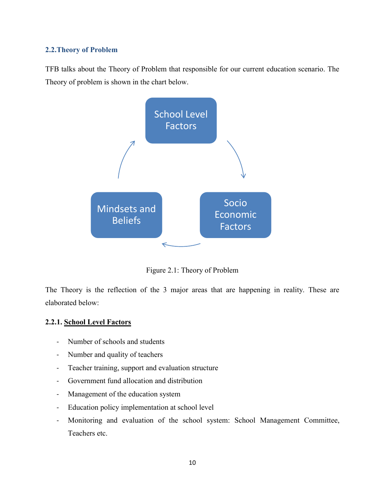# **2.2.Theory of Problem**

TFB talks about the Theory of Problem that responsible for our current education scenario. The Theory of problem is shown in the chart below.



Figure 2.1: Theory of Problem

The Theory is the reflection of the 3 major areas that are happening in reality. These are elaborated below:

#### **2.2.1. School Level Factors**

- Number of schools and students
- Number and quality of teachers
- Teacher training, support and evaluation structure
- Government fund allocation and distribution
- Management of the education system
- Education policy implementation at school level
- Monitoring and evaluation of the school system: School Management Committee, Teachers etc.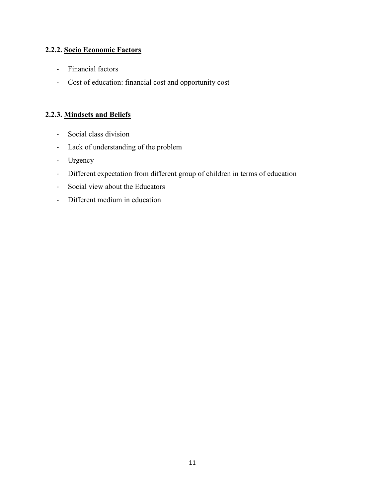# **2.2.2. Socio Economic Factors**

- Financial factors
- Cost of education: financial cost and opportunity cost

# **2.2.3. Mindsets and Beliefs**

- Social class division
- Lack of understanding of the problem
- Urgency
- Different expectation from different group of children in terms of education
- Social view about the Educators
- Different medium in education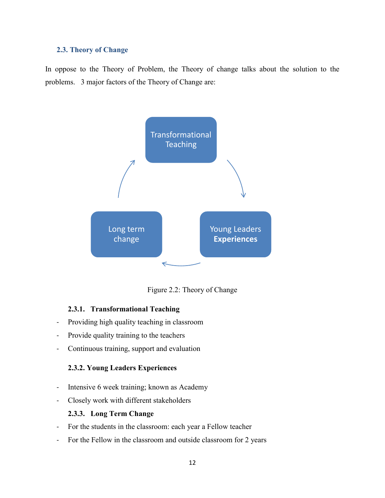#### **2.3. Theory of Change**

In oppose to the Theory of Problem, the Theory of change talks about the solution to the problems. 3 major factors of the Theory of Change are:



Figure 2.2: Theory of Change

#### **2.3.1. Transformational Teaching**

- Providing high quality teaching in classroom
- Provide quality training to the teachers
- Continuous training, support and evaluation

# **2.3.2. Young Leaders Experiences**

- Intensive 6 week training; known as Academy
- Closely work with different stakeholders

#### **2.3.3. Long Term Change**

- For the students in the classroom: each year a Fellow teacher
- For the Fellow in the classroom and outside classroom for 2 years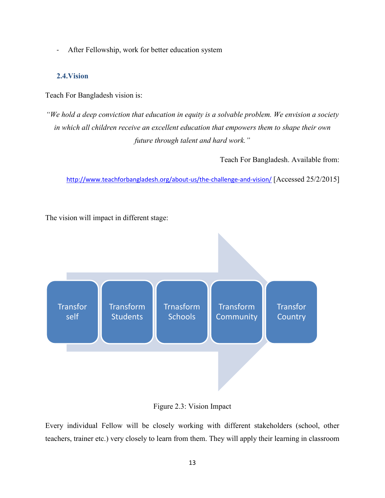- After Fellowship, work for better education system

# **2.4.Vision**

Teach For Bangladesh vision is:

*"We hold a deep conviction that education in equity is a solvable problem. We envision a society in which all children receive an excellent education that empowers them to shape their own future through talent and hard work."* 

Teach For Bangladesh. Available from:

<http://www.teachforbangladesh.org/about-us/the-challenge-and-vision/> [Accessed 25/2/2015]

The vision will impact in different stage:



Figure 2.3: Vision Impact

Every individual Fellow will be closely working with different stakeholders (school, other teachers, trainer etc.) very closely to learn from them. They will apply their learning in classroom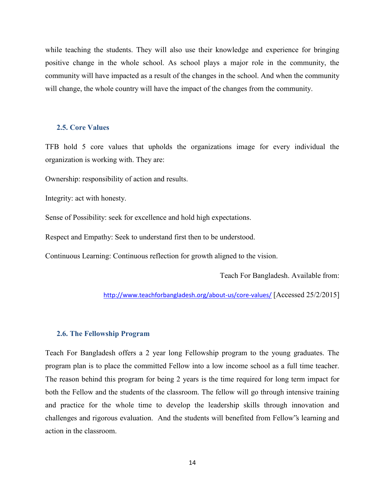while teaching the students. They will also use their knowledge and experience for bringing positive change in the whole school. As school plays a major role in the community, the community will have impacted as a result of the changes in the school. And when the community will change, the whole country will have the impact of the changes from the community.

#### **2.5. Core Values**

TFB hold 5 core values that upholds the organizations image for every individual the organization is working with. They are:

Ownership: responsibility of action and results.

Integrity: act with honesty.

Sense of Possibility: seek for excellence and hold high expectations.

Respect and Empathy: Seek to understand first then to be understood.

Continuous Learning: Continuous reflection for growth aligned to the vision.

Teach For Bangladesh. Available from:

<http://www.teachforbangladesh.org/about-us/core-values/> [Accessed 25/2/2015]

#### **2.6. The Fellowship Program**

Teach For Bangladesh offers a 2 year long Fellowship program to the young graduates. The program plan is to place the committed Fellow into a low income school as a full time teacher. The reason behind this program for being 2 years is the time required for long term impact for both the Fellow and the students of the classroom. The fellow will go through intensive training and practice for the whole time to develop the leadership skills through innovation and challenges and rigorous evaluation. And the students will benefited from Fellow"s learning and action in the classroom.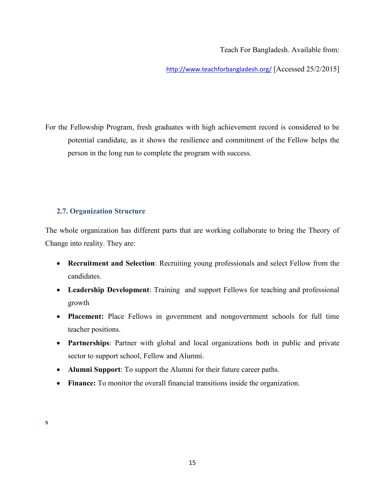Teach For Bangladesh. Available from:

<http://www.teachforbangladesh.org/> [Accessed 25/2/2015]

For the Fellowship Program, fresh graduates with high achievement record is considered to be potential candidate, as it shows the resilience and commitment of the Fellow helps the person in the long run to complete the program with success.

# **2.7. Organization Structure**

The whole organization has different parts that are working collaborate to bring the Theory of Change into reality. They are:

- **Recruitment and Selection**: Recruiting young professionals and select Fellow from the candidates.
- **Leadership Development**: Training and support Fellows for teaching and professional growth
- **Placement:** Place Fellows in government and nongovernment schools for full time teacher positions.
- **Partnerships**: Partner with global and local organizations both in public and private sector to support school, Fellow and Alumni.
- **Alumni Support**: To support the Alumni for their future career paths.
- **Finance:** To monitor the overall financial transitions inside the organization.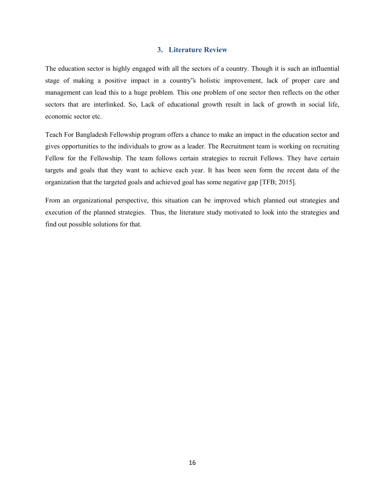#### **3. Literature Review**

The education sector is highly engaged with all the sectors of a country. Though it is such an influential stage of making a positive impact in a country"s holistic improvement, lack of proper care and management can lead this to a huge problem. This one problem of one sector then reflects on the other sectors that are interlinked. So, Lack of educational growth result in lack of growth in social life, economic sector etc.

Teach For Bangladesh Fellowship program offers a chance to make an impact in the education sector and gives opportunities to the individuals to grow as a leader. The Recruitment team is working on recruiting Fellow for the Fellowship. The team follows certain strategies to recruit Fellows. They have certain targets and goals that they want to achieve each year. It has been seen form the recent data of the organization that the targeted goals and achieved goal has some negative gap [TFB; 2015].

From an organizational perspective, this situation can be improved which planned out strategies and execution of the planned strategies. Thus, the literature study motivated to look into the strategies and find out possible solutions for that.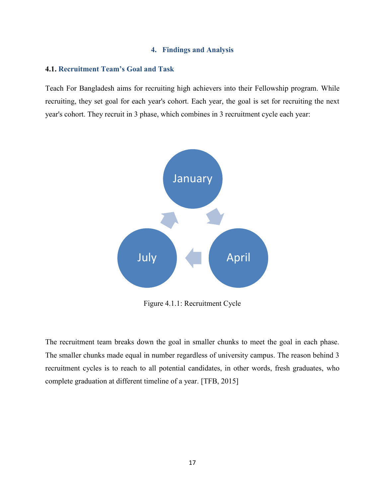#### **4. Findings and Analysis**

#### **4.1. Recruitment Team's Goal and Task**

Teach For Bangladesh aims for recruiting high achievers into their Fellowship program. While recruiting, they set goal for each year's cohort. Each year, the goal is set for recruiting the next year's cohort. They recruit in 3 phase, which combines in 3 recruitment cycle each year:



Figure 4.1.1: Recruitment Cycle

The recruitment team breaks down the goal in smaller chunks to meet the goal in each phase. The smaller chunks made equal in number regardless of university campus. The reason behind 3 recruitment cycles is to reach to all potential candidates, in other words, fresh graduates, who complete graduation at different timeline of a year. [TFB, 2015]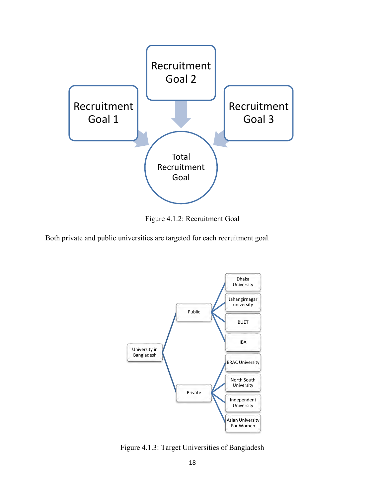

Figure 4.1.2: Recruitment Goal

Both private and public universities are targeted for each recruitment goal.



Figure 4.1.3: Target Universities of Bangladesh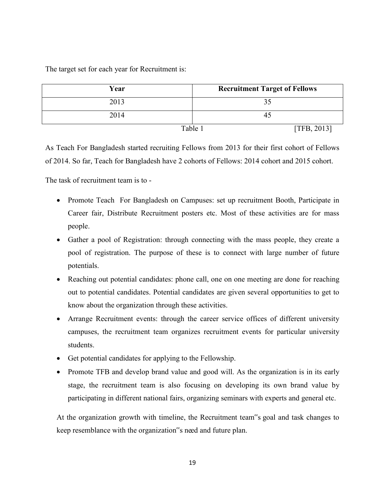The target set for each year for Recruitment is:

| Year                   | <b>Recruitment Target of Fellows</b> |
|------------------------|--------------------------------------|
| 2013                   |                                      |
| 2014                   | 45                                   |
| Table 1<br>[TFB, 2013] |                                      |

As Teach For Bangladesh started recruiting Fellows from 2013 for their first cohort of Fellows of 2014. So far, Teach for Bangladesh have 2 cohorts of Fellows: 2014 cohort and 2015 cohort.

The task of recruitment team is to -

- Promote Teach For Bangladesh on Campuses: set up recruitment Booth, Participate in Career fair, Distribute Recruitment posters etc. Most of these activities are for mass people.
- Gather a pool of Registration: through connecting with the mass people, they create a pool of registration. The purpose of these is to connect with large number of future potentials.
- Reaching out potential candidates: phone call, one on one meeting are done for reaching out to potential candidates. Potential candidates are given several opportunities to get to know about the organization through these activities.
- Arrange Recruitment events: through the career service offices of different university campuses, the recruitment team organizes recruitment events for particular university students.
- Get potential candidates for applying to the Fellowship.
- Promote TFB and develop brand value and good will. As the organization is in its early stage, the recruitment team is also focusing on developing its own brand value by participating in different national fairs, organizing seminars with experts and general etc.

At the organization growth with timeline, the Recruitment team"s goal and task changes to keep resemblance with the organization"s need and future plan.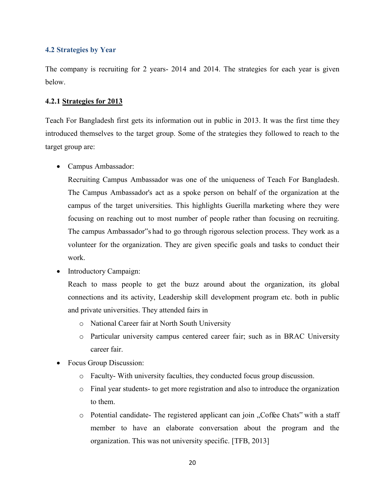#### **4.2 Strategies by Year**

The company is recruiting for 2 years- 2014 and 2014. The strategies for each year is given below.

#### **4.2.1 Strategies for 2013**

Teach For Bangladesh first gets its information out in public in 2013. It was the first time they introduced themselves to the target group. Some of the strategies they followed to reach to the target group are:

Campus Ambassador:

Recruiting Campus Ambassador was one of the uniqueness of Teach For Bangladesh. The Campus Ambassador's act as a spoke person on behalf of the organization at the campus of the target universities. This highlights Guerilla marketing where they were focusing on reaching out to most number of people rather than focusing on recruiting. The campus Ambassador"s had to go through rigorous selection process. They work as a volunteer for the organization. They are given specific goals and tasks to conduct their work.

• Introductory Campaign:

Reach to mass people to get the buzz around about the organization, its global connections and its activity, Leadership skill development program etc. both in public and private universities. They attended fairs in

- o National Career fair at North South University
- o Particular university campus centered career fair; such as in BRAC University career fair.
- Focus Group Discussion:
	- o Faculty- With university faculties, they conducted focus group discussion.
	- o Final year students- to get more registration and also to introduce the organization to them.
	- o Potential candidate- The registered applicant can join "Coffee Chats" with a staff member to have an elaborate conversation about the program and the organization. This was not university specific. [TFB, 2013]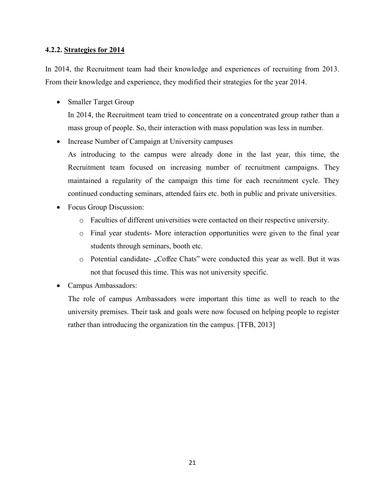#### **4.2.2. Strategies for 2014**

In 2014, the Recruitment team had their knowledge and experiences of recruiting from 2013. From their knowledge and experience, they modified their strategies for the year 2014.

• Smaller Target Group

In 2014, the Recruitment team tried to concentrate on a concentrated group rather than a mass group of people. So, their interaction with mass population was less in number.

• Increase Number of Campaign at University campuses

As introducing to the campus were already done in the last year, this time, the Recruitment team focused on increasing number of recruitment campaigns. They maintained a regularity of the campaign this time for each recruitment cycle. They continued conducting seminars, attended fairs etc. both in public and private universities.

- Focus Group Discussion:
	- o Faculties of different universities were contacted on their respective university.
	- o Final year students- More interaction opportunities were given to the final year students through seminars, booth etc.
	- o Potential candidate- "Coffee Chats" were conducted this year as well. But it was not that focused this time. This was not university specific.
- Campus Ambassadors:

The role of campus Ambassadors were important this time as well to reach to the university premises. Their task and goals were now focused on helping people to register rather than introducing the organization tin the campus. [TFB, 2013]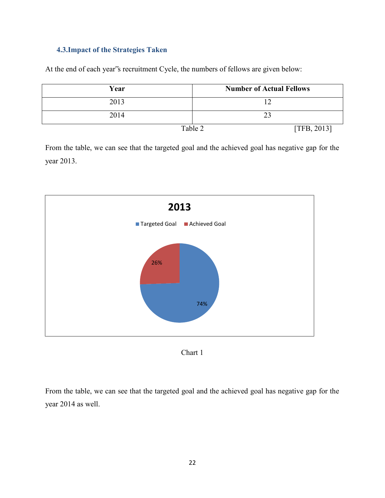# **4.3.Impact of the Strategies Taken**

At the end of each year"s recruitment Cycle, the numbers of fellows are given below:

| Year | <b>Number of Actual Fellows</b> |
|------|---------------------------------|
| 2013 |                                 |
| 2014 | 23                              |
|      | Table 2<br>[TFB, 2013]          |

From the table, we can see that the targeted goal and the achieved goal has negative gap for the year 2013.





From the table, we can see that the targeted goal and the achieved goal has negative gap for the year 2014 as well.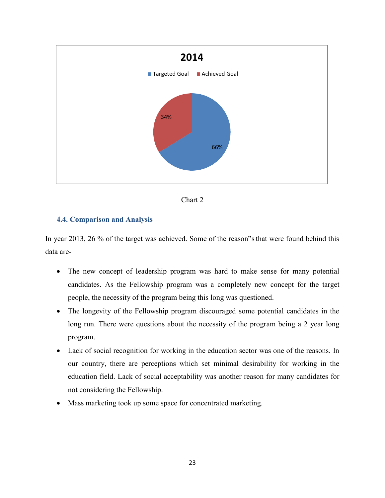



#### **4.4. Comparison and Analysis**

In year 2013, 26 % of the target was achieved. Some of the reason"s that were found behind this data are-

- The new concept of leadership program was hard to make sense for many potential candidates. As the Fellowship program was a completely new concept for the target people, the necessity of the program being this long was questioned.
- The longevity of the Fellowship program discouraged some potential candidates in the long run. There were questions about the necessity of the program being a 2 year long program.
- Lack of social recognition for working in the education sector was one of the reasons. In our country, there are perceptions which set minimal desirability for working in the education field. Lack of social acceptability was another reason for many candidates for not considering the Fellowship.
- Mass marketing took up some space for concentrated marketing.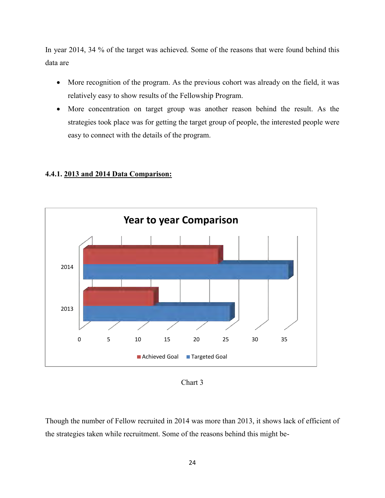In year 2014, 34 % of the target was achieved. Some of the reasons that were found behind this data are

- More recognition of the program. As the previous cohort was already on the field, it was relatively easy to show results of the Fellowship Program.
- More concentration on target group was another reason behind the result. As the strategies took place was for getting the target group of people, the interested people were easy to connect with the details of the program.

# **4.4.1. 2013 and 2014 Data Comparison:**



Chart 3

Though the number of Fellow recruited in 2014 was more than 2013, it shows lack of efficient of the strategies taken while recruitment. Some of the reasons behind this might be-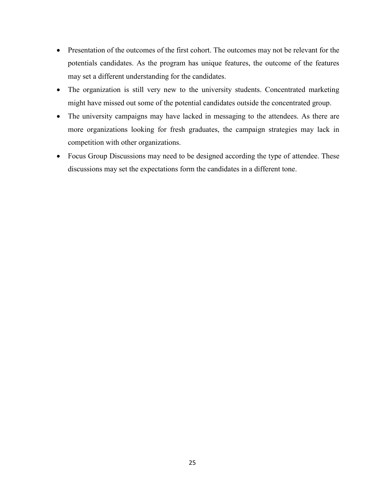- Presentation of the outcomes of the first cohort. The outcomes may not be relevant for the potentials candidates. As the program has unique features, the outcome of the features may set a different understanding for the candidates.
- The organization is still very new to the university students. Concentrated marketing might have missed out some of the potential candidates outside the concentrated group.
- The university campaigns may have lacked in messaging to the attendees. As there are more organizations looking for fresh graduates, the campaign strategies may lack in competition with other organizations.
- Focus Group Discussions may need to be designed according the type of attendee. These discussions may set the expectations form the candidates in a different tone.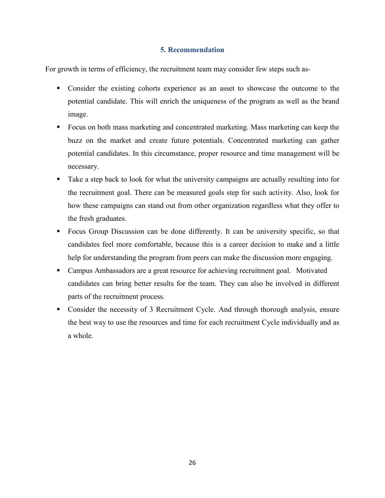# **5. Recommendation**

For growth in terms of efficiency, the recruitment team may consider few steps such as-

- Consider the existing cohorts experience as an asset to showcase the outcome to the potential candidate. This will enrich the uniqueness of the program as well as the brand image.
- Focus on both mass marketing and concentrated marketing. Mass marketing can keep the buzz on the market and create future potentials. Concentrated marketing can gather potential candidates. In this circumstance, proper resource and time management will be necessary.
- Take a step back to look for what the university campaigns are actually resulting into for the recruitment goal. There can be measured goals step for such activity. Also, look for how these campaigns can stand out from other organization regardless what they offer to the fresh graduates.
- Focus Group Discussion can be done differently. It can be university specific, so that candidates feel more comfortable, because this is a career decision to make and a little help for understanding the program from peers can make the discussion more engaging.
- Campus Ambassadors are a great resource for achieving recruitment goal. Motivated candidates can bring better results for the team. They can also be involved in different parts of the recruitment process.
- Consider the necessity of 3 Recruitment Cycle. And through thorough analysis, ensure the best way to use the resources and time for each recruitment Cycle individually and as a whole.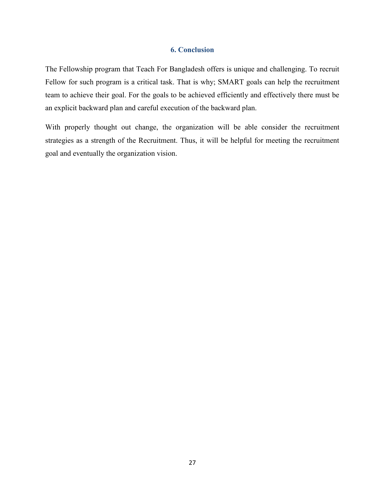#### **6. Conclusion**

The Fellowship program that Teach For Bangladesh offers is unique and challenging. To recruit Fellow for such program is a critical task. That is why; SMART goals can help the recruitment team to achieve their goal. For the goals to be achieved efficiently and effectively there must be an explicit backward plan and careful execution of the backward plan.

With properly thought out change, the organization will be able consider the recruitment strategies as a strength of the Recruitment. Thus, it will be helpful for meeting the recruitment goal and eventually the organization vision.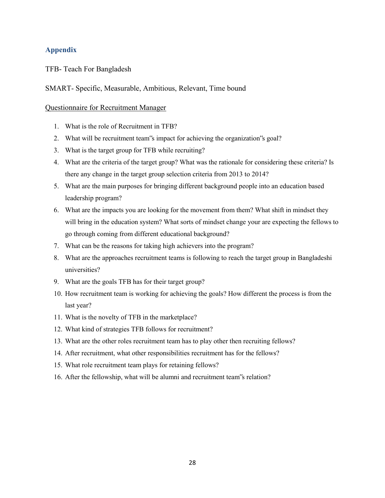# **Appendix**

TFB- Teach For Bangladesh

# SMART- Specific, Measurable, Ambitious, Relevant, Time bound

### Questionnaire for Recruitment Manager

- 1. What is the role of Recruitment in TFB?
- 2. What will be recruitment team"s impact for achieving the organization"s goal?
- 3. What is the target group for TFB while recruiting?
- 4. What are the criteria of the target group? What was the rationale for considering these criteria? Is there any change in the target group selection criteria from 2013 to 2014?
- 5. What are the main purposes for bringing different background people into an education based leadership program?
- 6. What are the impacts you are looking for the movement from them? What shift in mindset they will bring in the education system? What sorts of mindset change your are expecting the fellows to go through coming from different educational background?
- 7. What can be the reasons for taking high achievers into the program?
- 8. What are the approaches recruitment teams is following to reach the target group in Bangladeshi universities?
- 9. What are the goals TFB has for their target group?
- 10. How recruitment team is working for achieving the goals? How different the process is from the last year?
- 11. What is the novelty of TFB in the marketplace?
- 12. What kind of strategies TFB follows for recruitment?
- 13. What are the other roles recruitment team has to play other then recruiting fellows?
- 14. After recruitment, what other responsibilities recruitment has for the fellows?
- 15. What role recruitment team plays for retaining fellows?
- 16. After the fellowship, what will be alumni and recruitment team"s relation?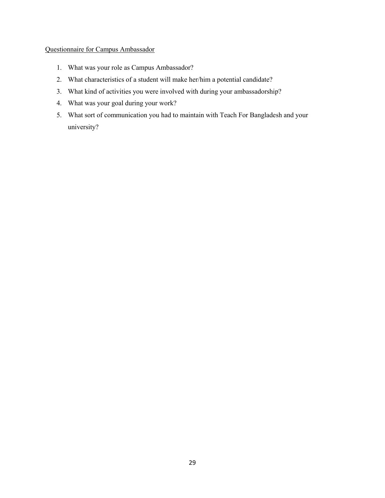# Questionnaire for Campus Ambassador

- 1. What was your role as Campus Ambassador?
- 2. What characteristics of a student will make her/him a potential candidate?
- 3. What kind of activities you were involved with during your ambassadorship?
- 4. What was your goal during your work?
- 5. What sort of communication you had to maintain with Teach For Bangladesh and your university?